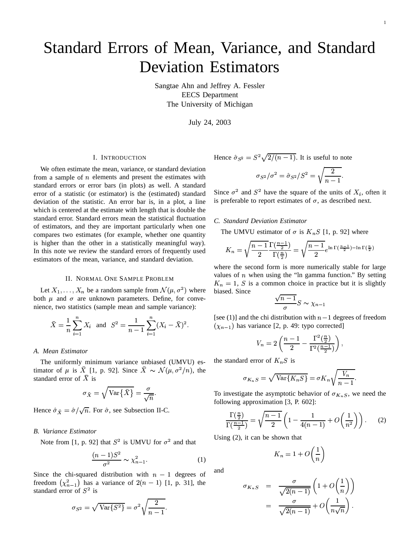# Standard Errors of Mean, Variance, and Standard Deviation Estimators

Sangtae Ahn and Jeffrey A. Fessler EECS Department The University of Michigan

July 24, 2003

### I. INTRODUCTION

We often estimate the mean, variance, or standard deviation from a sample of  $n$  elements and present the estimates with standard errors or error bars (in plots) as well. A standard error of a statistic (or estimator) is the (estimated) standard deviation of the statistic. An error bar is, in a plot, a line which is centered at the estimate with length that is double the standard error. Standard errors mean the statistical fluctuation of estimators, and they are important particularly when one compares two estimates (for example, whether one quantity is higher than the other in a statistically meaningful way). In this note we review the standard errors of frequently used estimators of the mean, variance, and standard deviation.

#### II. NORMAL ONE SAMPLE PROBLEM

Let  $X_1, \ldots, X_n$  be a random sample from  $\mathcal{N}(\mu, \sigma^2)$  where both  $\mu$  and  $\sigma$  are unknown parameters. Define, for convenience, two statistics (sample mean and sample variance):

$$
\bar{X} = \frac{1}{n} \sum_{i=1}^{n} X_i
$$
 and  $S^2 = \frac{1}{n-1} \sum_{i=1}^{n} (X_i - \bar{X})^2$ .

#### *A. Mean Estimator*

The uniformly minimum variance unbiased (UMVU) estimator of  $\mu$  is  $\bar{X}$  [1, p. 92]. Since  $\bar{X} \sim \mathcal{N}(\mu, \sigma^2/n)$ , the standard error of  $\bar{X}$  is

$$
\sigma_{\bar{X}} = \sqrt{\text{Var}\{\bar{X}\}} = \frac{\sigma}{\sqrt{n}}.
$$

Hence  $\hat{\sigma}_{\bar{X}} = \hat{\sigma}/\sqrt{n}$ . For  $\hat{\sigma}$ , see Subsection II-C.

## *B. Variance Estimator*

Note from [1, p. 92] that  $S^2$  is UMVU for  $\sigma^2$  and that

$$
\frac{(n-1)S^2}{\sigma^2} \sim \chi^2_{n-1}.
$$
 (1)

Since the chi-squared distribution with  $n - 1$  degrees of freedom  $\left(\chi_{n-1}^2\right)$  has a variance of  $2(n-1)$  [1, p. 31], the standard error of  $S^2$  is

$$
\sigma_{S^2}=\sqrt{\text{Var}\{S^2\}}=\sigma^2\sqrt{\frac{2}{n-1}}.
$$

Hence  $\hat{\sigma}_{S^2} = S^2 \sqrt{2/(n-1)}$ . It is useful to note

$$
\sigma_{S^2}/\sigma^2=\hat{\sigma}_{S^2}/S^2=\sqrt{\frac{2}{n-1}}.
$$

Since  $\sigma^2$  and  $S^2$  have the square of the units of  $X_i$ , often it is preferable to report estimates of  $\sigma$ , as described next.

#### *C. Standard Deviation Estimator*

The UMVU estimator of  $\sigma$  is  $K_nS$  [1, p. 92] where

$$
K_n = \sqrt{\frac{n-1}{2}} \frac{\Gamma(\frac{n-1}{2})}{\Gamma(\frac{n}{2})} = \sqrt{\frac{n-1}{2}} e^{\ln \Gamma(\frac{n-1}{2}) - \ln \Gamma(\frac{n}{2})}
$$

where the second form is more numerically stable for large values of  $n$  when using the "ln gamma function." By setting  $K_n = 1$ , S is a common choice in practice but it is slightly biased. Since

$$
\frac{\sqrt{n-1}}{\sigma}S \sim \chi_{n-1}
$$

[see (1)] and the chi distribution with  $n - 1$  degrees of freedom  $(\chi_{n-1})$  has variance [2, p. 49: typo corrected]

$$
V_n = 2\left(\frac{n-1}{2} - \frac{\Gamma^2(\frac{n}{2})}{\Gamma^2(\frac{n-1}{2})}\right),
$$

the standard error of  $K_nS$  is

$$
\sigma_{K_nS} = \sqrt{\text{Var}\{K_nS\}} = \sigma K_n \sqrt{\frac{V_n}{n-1}}.
$$

To investigate the asymptotic behavior of  $\sigma_{K_nS}$ , we need the following approximation [3, P. 602]: following approximation [3, P. 602]:

$$
\frac{\Gamma(\frac{n}{2})}{\Gamma(\frac{n-1}{2})} = \sqrt{\frac{n-1}{2}} \left( 1 - \frac{1}{4(n-1)} + O\left(\frac{1}{n^2}\right) \right). \tag{2}
$$

<sup>V</sup> Using (2), it can be shown that

$$
K_n = 1 + O\left(\frac{1}{n}\right)
$$

and

$$
\sigma_{K_n S} = \frac{\sigma}{\sqrt{2(n-1)}} \left( 1 + O\left(\frac{1}{n}\right) \right)
$$
  
= 
$$
\frac{\sigma}{\sqrt{2(n-1)}} + O\left(\frac{1}{n\sqrt{n}}\right).
$$